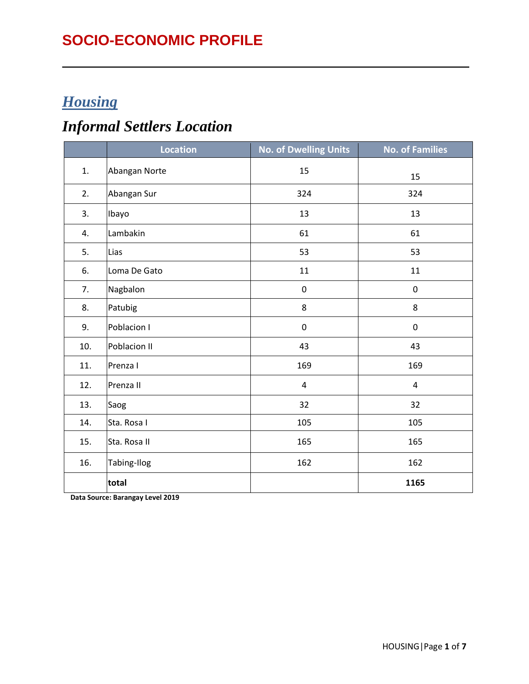#### **SOCIO-ECONOMIC PROFILE**

#### *Housing*

## *Informal Settlers Location*

|     | <b>Location</b> | <b>No. of Dwelling Units</b> | <b>No. of Families</b> |
|-----|-----------------|------------------------------|------------------------|
| 1.  | Abangan Norte   | 15                           | 15                     |
| 2.  | Abangan Sur     | 324                          | 324                    |
| 3.  | Ibayo           | 13                           | 13                     |
| 4.  | Lambakin        | 61                           | 61                     |
| 5.  | Lias            | 53                           | 53                     |
| 6.  | Loma De Gato    | 11                           | 11                     |
| 7.  | Nagbalon        | $\pmb{0}$                    | $\pmb{0}$              |
| 8.  | Patubig         | $\bf 8$                      | 8                      |
| 9.  | Poblacion I     | $\pmb{0}$                    | $\pmb{0}$              |
| 10. | Poblacion II    | 43                           | 43                     |
| 11. | Prenza I        | 169                          | 169                    |
| 12. | Prenza II       | $\overline{\mathbf{4}}$      | $\overline{4}$         |
| 13. | Saog            | 32                           | 32                     |
| 14. | Sta. Rosa I     | 105                          | 105                    |
| 15. | Sta. Rosa II    | 165                          | 165                    |
| 16. | Tabing-Ilog     | 162                          | 162                    |
|     | total           |                              | 1165                   |

**Data Source: Barangay Level 2019**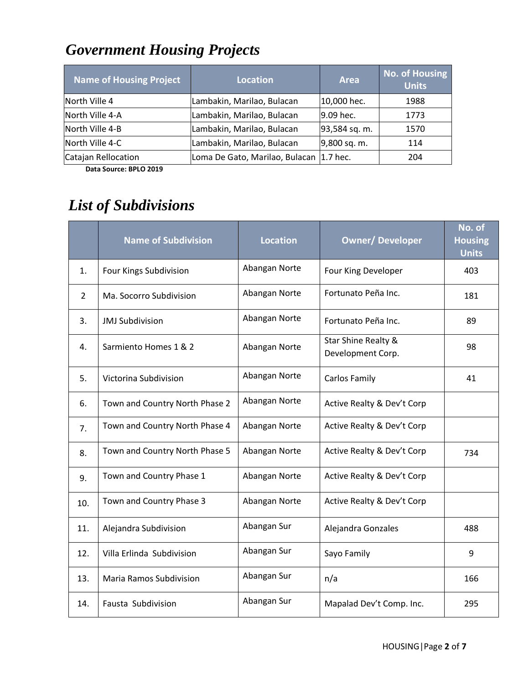# *Government Housing Projects*

| <b>Name of Housing Project</b> | <b>Location</b>                          | <b>Area</b>   | <b>No. of Housing</b><br><b>Units</b> |
|--------------------------------|------------------------------------------|---------------|---------------------------------------|
| North Ville 4                  | Lambakin, Marilao, Bulacan               | 10,000 hec.   | 1988                                  |
| North Ville 4-A                | Lambakin, Marilao, Bulacan               | 9.09 hec.     | 1773                                  |
| North Ville 4-B                | Lambakin, Marilao, Bulacan               | 93,584 sq. m. | 1570                                  |
| North Ville 4-C                | Lambakin, Marilao, Bulacan               | 9,800 sq. m.  | 114                                   |
| Catajan Rellocation            | Loma De Gato, Marilao, Bulacan  1.7 hec. |               | 204                                   |

 **Data Source: BPLO 2019**

## *List of Subdivisions*

|                | <b>Name of Subdivision</b>     | <b>Location</b> | <b>Owner/Developer</b>                   | No. of<br><b>Housing</b><br><b>Units</b> |
|----------------|--------------------------------|-----------------|------------------------------------------|------------------------------------------|
| 1.             | Four Kings Subdivision         | Abangan Norte   | Four King Developer                      | 403                                      |
| $\overline{2}$ | Ma. Socorro Subdivision        | Abangan Norte   | Fortunato Peña Inc.                      | 181                                      |
| 3.             | <b>JMJ Subdivision</b>         | Abangan Norte   | Fortunato Peña Inc.                      | 89                                       |
| 4.             | Sarmiento Homes 1 & 2          | Abangan Norte   | Star Shine Realty &<br>Development Corp. | 98                                       |
| 5.             | Victorina Subdivision          | Abangan Norte   | Carlos Family                            | 41                                       |
| 6.             | Town and Country North Phase 2 | Abangan Norte   | Active Realty & Dev't Corp               |                                          |
| 7.             | Town and Country North Phase 4 | Abangan Norte   | Active Realty & Dev't Corp               |                                          |
| 8.             | Town and Country North Phase 5 | Abangan Norte   | Active Realty & Dev't Corp               | 734                                      |
| 9.             | Town and Country Phase 1       | Abangan Norte   | Active Realty & Dev't Corp               |                                          |
| 10.            | Town and Country Phase 3       | Abangan Norte   | Active Realty & Dev't Corp               |                                          |
| 11.            | Alejandra Subdivision          | Abangan Sur     | Alejandra Gonzales                       | 488                                      |
| 12.            | Villa Erlinda Subdivision      | Abangan Sur     | Sayo Family                              | 9                                        |
| 13.            | <b>Maria Ramos Subdivision</b> | Abangan Sur     | n/a                                      | 166                                      |
| 14.            | Fausta Subdivision             | Abangan Sur     | Mapalad Dev't Comp. Inc.                 | 295                                      |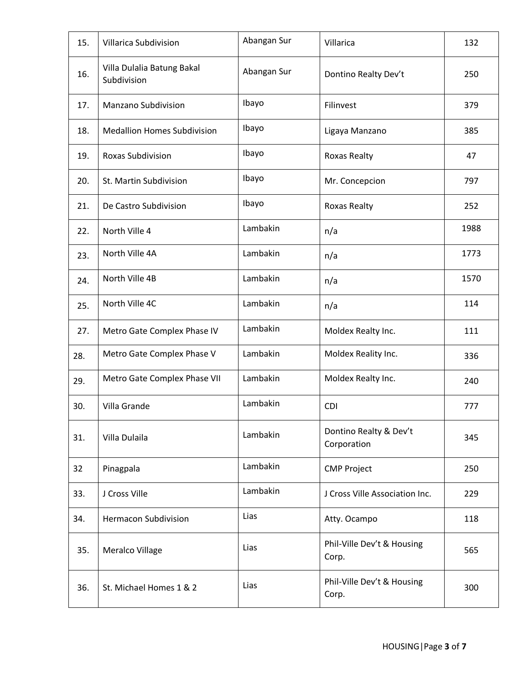| 15. | Villarica Subdivision                     | Abangan Sur | Villarica                             | 132  |
|-----|-------------------------------------------|-------------|---------------------------------------|------|
| 16. | Villa Dulalia Batung Bakal<br>Subdivision | Abangan Sur | Dontino Realty Dev't                  | 250  |
| 17. | Manzano Subdivision                       | Ibayo       | Filinvest                             | 379  |
| 18. | <b>Medallion Homes Subdivision</b>        | Ibayo       | Ligaya Manzano                        | 385  |
| 19. | <b>Roxas Subdivision</b>                  | Ibayo       | Roxas Realty                          | 47   |
| 20. | St. Martin Subdivision                    | Ibayo       | Mr. Concepcion                        | 797  |
| 21. | De Castro Subdivision                     | Ibayo       | <b>Roxas Realty</b>                   | 252  |
| 22. | North Ville 4                             | Lambakin    | n/a                                   | 1988 |
| 23. | North Ville 4A                            | Lambakin    | n/a                                   | 1773 |
| 24. | North Ville 4B                            | Lambakin    | n/a                                   | 1570 |
| 25. | North Ville 4C                            | Lambakin    | n/a                                   | 114  |
| 27. | Metro Gate Complex Phase IV               | Lambakin    | Moldex Realty Inc.                    | 111  |
| 28. | Metro Gate Complex Phase V                | Lambakin    | Moldex Reality Inc.                   | 336  |
| 29. | Metro Gate Complex Phase VII              | Lambakin    | Moldex Realty Inc.                    | 240  |
| 30. | Villa Grande                              | Lambakin    | <b>CDI</b>                            | 777  |
| 31. | Villa Dulaila                             | Lambakin    | Dontino Realty & Dev't<br>Corporation | 345  |
| 32  | Pinagpala                                 | Lambakin    | <b>CMP Project</b>                    | 250  |
| 33. | J Cross Ville                             | Lambakin    | J Cross Ville Association Inc.        | 229  |
| 34. | <b>Hermacon Subdivision</b>               | Lias        | Atty. Ocampo                          | 118  |
| 35. | Meralco Village                           | Lias        | Phil-Ville Dev't & Housing<br>Corp.   | 565  |
| 36. | St. Michael Homes 1 & 2                   | Lias        | Phil-Ville Dev't & Housing<br>Corp.   | 300  |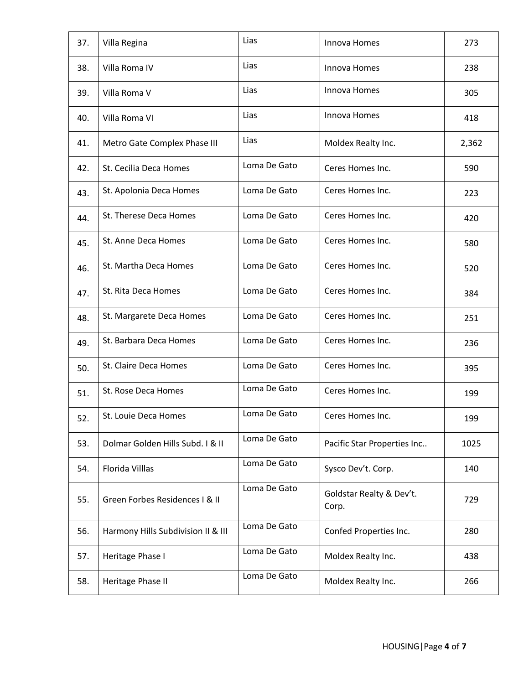| 37. | Villa Regina                       | Lias         | Innova Homes                      | 273   |
|-----|------------------------------------|--------------|-----------------------------------|-------|
| 38. | Villa Roma IV                      | Lias         | Innova Homes                      | 238   |
| 39. | Villa Roma V                       | Lias         | Innova Homes                      | 305   |
| 40. | Villa Roma VI                      | Lias         | Innova Homes                      | 418   |
| 41. | Metro Gate Complex Phase III       | Lias         | Moldex Realty Inc.                | 2,362 |
| 42. | St. Cecilia Deca Homes             | Loma De Gato | Ceres Homes Inc.                  | 590   |
| 43. | St. Apolonia Deca Homes            | Loma De Gato | Ceres Homes Inc.                  | 223   |
| 44. | St. Therese Deca Homes             | Loma De Gato | Ceres Homes Inc.                  | 420   |
| 45. | St. Anne Deca Homes                | Loma De Gato | Ceres Homes Inc.                  | 580   |
| 46. | St. Martha Deca Homes              | Loma De Gato | Ceres Homes Inc.                  | 520   |
| 47. | St. Rita Deca Homes                | Loma De Gato | Ceres Homes Inc.                  | 384   |
| 48. | St. Margarete Deca Homes           | Loma De Gato | Ceres Homes Inc.                  | 251   |
| 49. | St. Barbara Deca Homes             | Loma De Gato | Ceres Homes Inc.                  | 236   |
| 50. | St. Claire Deca Homes              | Loma De Gato | Ceres Homes Inc.                  | 395   |
| 51. | St. Rose Deca Homes                | Loma De Gato | Ceres Homes Inc.                  | 199   |
| 52. | St. Louie Deca Homes               | Loma De Gato | Ceres Homes Inc.                  | 199   |
| 53. | Dolmar Golden Hills Subd. I & II   | Loma De Gato | Pacific Star Properties Inc       | 1025  |
| 54. | Florida Villlas                    | Loma De Gato | Sysco Dev't. Corp.                | 140   |
| 55. | Green Forbes Residences I & II     | Loma De Gato | Goldstar Realty & Dev't.<br>Corp. | 729   |
| 56. | Harmony Hills Subdivision II & III | Loma De Gato | Confed Properties Inc.            | 280   |
| 57. | Heritage Phase I                   | Loma De Gato | Moldex Realty Inc.                | 438   |
| 58. | Heritage Phase II                  | Loma De Gato | Moldex Realty Inc.                | 266   |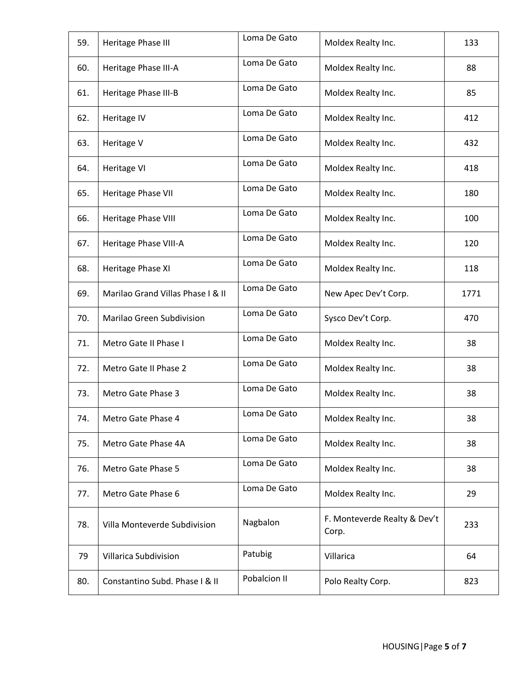| 59. | Heritage Phase III                | Loma De Gato | Moldex Realty Inc.                    | 133  |
|-----|-----------------------------------|--------------|---------------------------------------|------|
| 60. | Heritage Phase III-A              | Loma De Gato | Moldex Realty Inc.                    | 88   |
| 61. | Heritage Phase III-B              | Loma De Gato | Moldex Realty Inc.                    | 85   |
| 62. | Heritage IV                       | Loma De Gato | Moldex Realty Inc.                    | 412  |
| 63. | Heritage V                        | Loma De Gato | Moldex Realty Inc.                    | 432  |
| 64. | Heritage VI                       | Loma De Gato | Moldex Realty Inc.                    | 418  |
| 65. | Heritage Phase VII                | Loma De Gato | Moldex Realty Inc.                    | 180  |
| 66. | Heritage Phase VIII               | Loma De Gato | Moldex Realty Inc.                    | 100  |
| 67. | Heritage Phase VIII-A             | Loma De Gato | Moldex Realty Inc.                    | 120  |
| 68. | Heritage Phase XI                 | Loma De Gato | Moldex Realty Inc.                    | 118  |
| 69. | Marilao Grand Villas Phase I & II | Loma De Gato | New Apec Dev't Corp.                  | 1771 |
| 70. | Marilao Green Subdivision         | Loma De Gato | Sysco Dev't Corp.                     | 470  |
| 71. | Metro Gate II Phase I             | Loma De Gato | Moldex Realty Inc.                    | 38   |
| 72. | Metro Gate II Phase 2             | Loma De Gato | Moldex Realty Inc.                    | 38   |
| 73. | Metro Gate Phase 3                | Loma De Gato | Moldex Realty Inc.                    | 38   |
| 74. | Metro Gate Phase 4                | Loma De Gato | Moldex Realty Inc.                    | 38   |
| 75. | Metro Gate Phase 4A               | Loma De Gato | Moldex Realty Inc.                    | 38   |
| 76. | Metro Gate Phase 5                | Loma De Gato | Moldex Realty Inc.                    | 38   |
| 77. | Metro Gate Phase 6                | Loma De Gato | Moldex Realty Inc.                    | 29   |
| 78. | Villa Monteverde Subdivision      | Nagbalon     | F. Monteverde Realty & Dev't<br>Corp. | 233  |
| 79  | Villarica Subdivision             | Patubig      | Villarica                             | 64   |
| 80. | Constantino Subd. Phase I & II    | Pobalcion II | Polo Realty Corp.                     | 823  |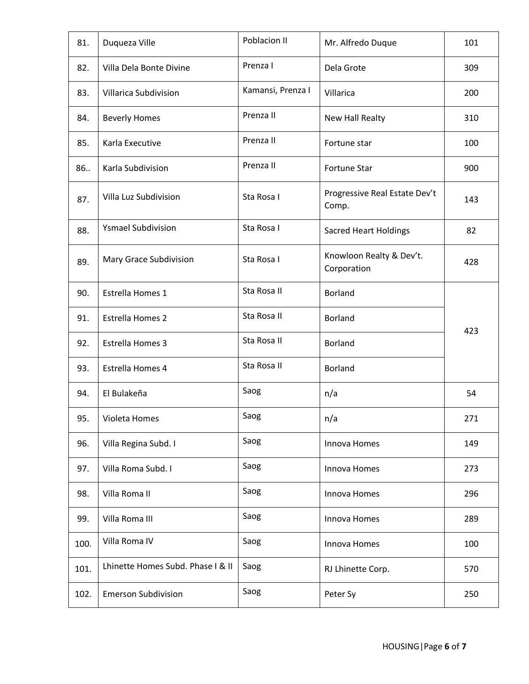| 81.  | Duqueza Ville                     | Poblacion II      | Mr. Alfredo Duque                       | 101 |
|------|-----------------------------------|-------------------|-----------------------------------------|-----|
| 82.  | Villa Dela Bonte Divine           | Prenza I          | Dela Grote                              | 309 |
| 83.  | Villarica Subdivision             | Kamansi, Prenza I | Villarica                               | 200 |
| 84.  | <b>Beverly Homes</b>              | Prenza II         | New Hall Realty                         | 310 |
| 85.  | Karla Executive                   | Prenza II         | Fortune star                            | 100 |
| 86   | Karla Subdivision                 | Prenza II         | Fortune Star                            | 900 |
| 87.  | Villa Luz Subdivision             | Sta Rosa I        | Progressive Real Estate Dev't<br>Comp.  | 143 |
| 88.  | <b>Ysmael Subdivision</b>         | Sta Rosa I        | <b>Sacred Heart Holdings</b>            | 82  |
| 89.  | Mary Grace Subdivision            | Sta Rosa I        | Knowloon Realty & Dev't.<br>Corporation | 428 |
| 90.  | Estrella Homes 1                  | Sta Rosa II       | <b>Borland</b>                          |     |
| 91.  | <b>Estrella Homes 2</b>           | Sta Rosa II       | <b>Borland</b>                          | 423 |
| 92.  | Estrella Homes 3                  | Sta Rosa II       | <b>Borland</b>                          |     |
| 93.  | Estrella Homes 4                  | Sta Rosa II       | <b>Borland</b>                          |     |
| 94.  | El Bulakeña                       | Saog              | n/a                                     | 54  |
| 95.  | Violeta Homes                     | Saog              | n/a                                     | 271 |
| 96.  | Villa Regina Subd. I              | Saog              | Innova Homes                            | 149 |
| 97.  | Villa Roma Subd. I                | Saog              | Innova Homes                            | 273 |
| 98.  | Villa Roma II                     | Saog              | Innova Homes                            | 296 |
| 99.  | Villa Roma III                    | Saog              | Innova Homes                            | 289 |
| 100. | Villa Roma IV                     | Saog              | Innova Homes                            | 100 |
| 101. | Lhinette Homes Subd. Phase I & II | Saog              | RJ Lhinette Corp.                       | 570 |
| 102. | <b>Emerson Subdivision</b>        | Saog              | Peter Sy                                | 250 |